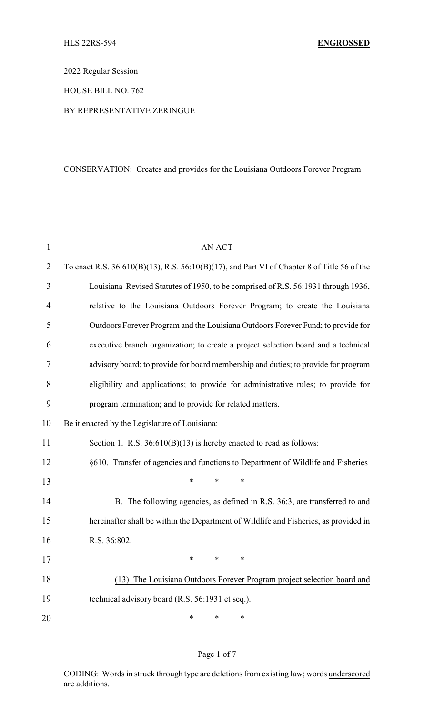2022 Regular Session

HOUSE BILL NO. 762

### BY REPRESENTATIVE ZERINGUE

# CONSERVATION: Creates and provides for the Louisiana Outdoors Forever Program

| $\mathbf{1}$   | <b>AN ACT</b>                                                                                     |
|----------------|---------------------------------------------------------------------------------------------------|
| $\overline{2}$ | To enact R.S. $36:610(B)(13)$ , R.S. $56:10(B)(17)$ , and Part VI of Chapter 8 of Title 56 of the |
| 3              | Louisiana Revised Statutes of 1950, to be comprised of R.S. 56:1931 through 1936,                 |
| $\overline{4}$ | relative to the Louisiana Outdoors Forever Program; to create the Louisiana                       |
| 5              | Outdoors Forever Program and the Louisiana Outdoors Forever Fund; to provide for                  |
| 6              | executive branch organization; to create a project selection board and a technical                |
| 7              | advisory board; to provide for board membership and duties; to provide for program                |
| 8              | eligibility and applications; to provide for administrative rules; to provide for                 |
| 9              | program termination; and to provide for related matters.                                          |
| 10             | Be it enacted by the Legislature of Louisiana:                                                    |
| 11             | Section 1. R.S. $36:610(B)(13)$ is hereby enacted to read as follows:                             |
| 12             | §610. Transfer of agencies and functions to Department of Wildlife and Fisheries                  |
| 13             | *<br>*<br>$\ast$                                                                                  |
| 14             | B. The following agencies, as defined in R.S. 36:3, are transferred to and                        |
| 15             | hereinafter shall be within the Department of Wildlife and Fisheries, as provided in              |
| 16             | R.S. 36:802.                                                                                      |
| 17             |                                                                                                   |
| 18             | The Louisiana Outdoors Forever Program project selection board and<br>(13)                        |
| 19             | technical advisory board (R.S. 56:1931 et seq.).                                                  |
| 20             | *<br>*<br>∗                                                                                       |

# Page 1 of 7

CODING: Words in struck through type are deletions from existing law; words underscored are additions.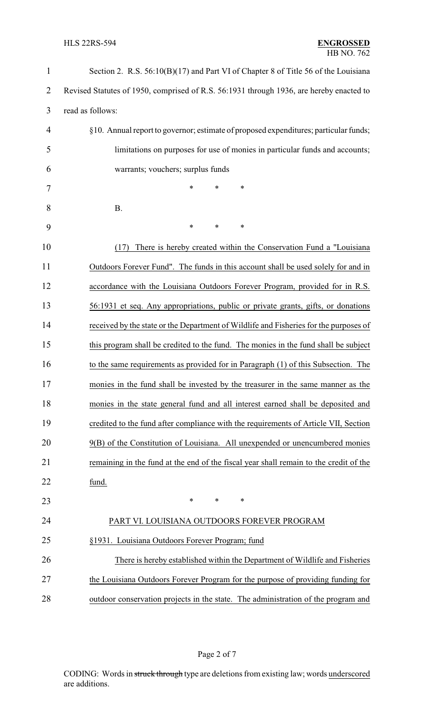| $\mathbf{1}$   | Section 2. R.S. 56:10(B)(17) and Part VI of Chapter 8 of Title 56 of the Louisiana      |
|----------------|-----------------------------------------------------------------------------------------|
| $\overline{2}$ | Revised Statutes of 1950, comprised of R.S. 56:1931 through 1936, are hereby enacted to |
| 3              | read as follows:                                                                        |
| 4              | §10. Annual report to governor; estimate of proposed expenditures; particular funds;    |
| 5              | limitations on purposes for use of monies in particular funds and accounts;             |
| 6              | warrants; vouchers; surplus funds                                                       |
| 7              | *<br>*<br>*                                                                             |
| 8              | <b>B.</b>                                                                               |
| 9              | $\ast$<br>$\ast$<br>*                                                                   |
| 10             | There is hereby created within the Conservation Fund a "Louisiana<br>(17)               |
| 11             | Outdoors Forever Fund". The funds in this account shall be used solely for and in       |
| 12             | accordance with the Louisiana Outdoors Forever Program, provided for in R.S.            |
| 13             | 56:1931 et seq. Any appropriations, public or private grants, gifts, or donations       |
| 14             | received by the state or the Department of Wildlife and Fisheries for the purposes of   |
| 15             | this program shall be credited to the fund. The monies in the fund shall be subject     |
| 16             | to the same requirements as provided for in Paragraph (1) of this Subsection. The       |
| 17             | monies in the fund shall be invested by the treasurer in the same manner as the         |
| 18             | monies in the state general fund and all interest earned shall be deposited and         |
| 19             | credited to the fund after compliance with the requirements of Article VII, Section     |
| 20             | 9(B) of the Constitution of Louisiana. All unexpended or unencumbered monies            |
| 21             | remaining in the fund at the end of the fiscal year shall remain to the credit of the   |
| 22             | fund.                                                                                   |
| 23             | $\ast$<br>$\ast$<br>∗                                                                   |
| 24             | PART VI. LOUISIANA OUTDOORS FOREVER PROGRAM                                             |
| 25             | §1931. Louisiana Outdoors Forever Program; fund                                         |
| 26             | There is hereby established within the Department of Wildlife and Fisheries             |
| 27             | the Louisiana Outdoors Forever Program for the purpose of providing funding for         |
| 28             | outdoor conservation projects in the state. The administration of the program and       |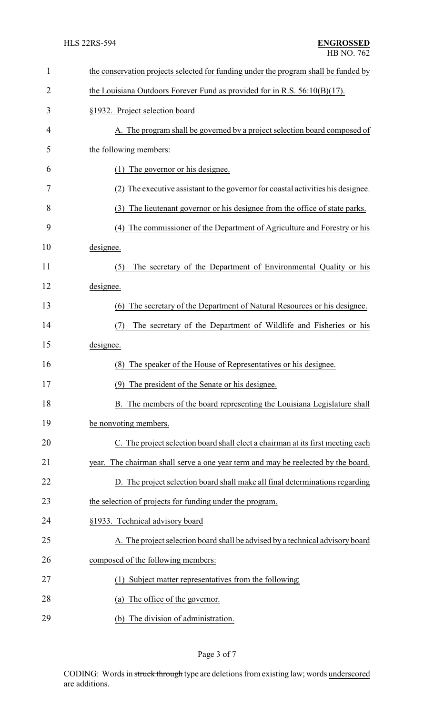| $\mathbf{1}$   | the conservation projects selected for funding under the program shall be funded by |
|----------------|-------------------------------------------------------------------------------------|
| $\overline{2}$ | the Louisiana Outdoors Forever Fund as provided for in R.S. $56:10(B)(17)$ .        |
| 3              | §1932. Project selection board                                                      |
| 4              | A. The program shall be governed by a project selection board composed of           |
| 5              | the following members:                                                              |
| 6              | The governor or his designee.<br>(1)                                                |
| 7              | (2) The executive assistant to the governor for coastal activities his designee.    |
| 8              | The lieutenant governor or his designee from the office of state parks.<br>(3)      |
| 9              | The commissioner of the Department of Agriculture and Forestry or his<br>(4)        |
| 10             | designee.                                                                           |
| 11             | The secretary of the Department of Environmental Quality or his<br>(5)              |
| 12             | designee.                                                                           |
| 13             | The secretary of the Department of Natural Resources or his designee.<br>(6)        |
| 14             | The secretary of the Department of Wildlife and Fisheries or his<br>(7)             |
| 15             | designee.                                                                           |
| 16             | The speaker of the House of Representatives or his designee.<br>(8)                 |
| 17             | (9) The president of the Senate or his designee.                                    |
| 18             | The members of the board representing the Louisiana Legislature shall               |
| 19             | be nonvoting members.                                                               |
| 20             | C. The project selection board shall elect a chairman at its first meeting each     |
| 21             | year. The chairman shall serve a one year term and may be reelected by the board.   |
| 22             | D. The project selection board shall make all final determinations regarding        |
| 23             | the selection of projects for funding under the program.                            |
| 24             | §1933. Technical advisory board                                                     |
| 25             | A. The project selection board shall be advised by a technical advisory board       |
| 26             | composed of the following members:                                                  |
| 27             | (1) Subject matter representatives from the following:                              |
| 28             | The office of the governor.<br>(a)                                                  |
| 29             | (b) The division of administration.                                                 |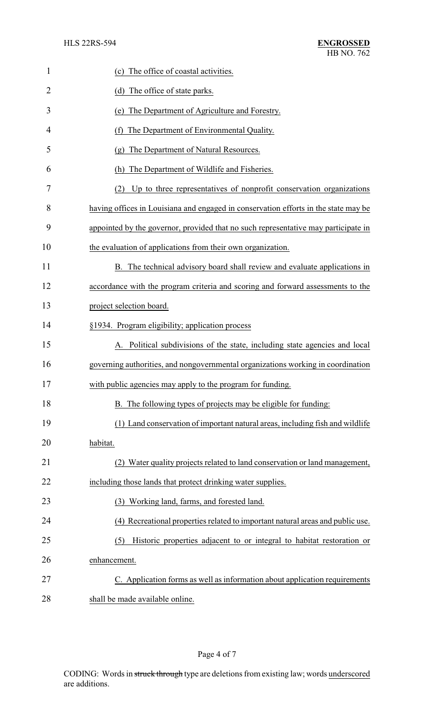| $\mathbf{1}$ | (c) The office of coastal activities.                                               |
|--------------|-------------------------------------------------------------------------------------|
| 2            | (d) The office of state parks.                                                      |
| 3            | The Department of Agriculture and Forestry.<br>(e)                                  |
| 4            | The Department of Environmental Quality.<br>(f)                                     |
| 5            | The Department of Natural Resources.<br>$\left( \varrho \right)$                    |
| 6            | The Department of Wildlife and Fisheries.<br>(h)                                    |
| 7            | Up to three representatives of nonprofit conservation organizations<br>(2)          |
| 8            | having offices in Louisiana and engaged in conservation efforts in the state may be |
| 9            | appointed by the governor, provided that no such representative may participate in  |
| 10           | the evaluation of applications from their own organization.                         |
| 11           | B. The technical advisory board shall review and evaluate applications in           |
| 12           | accordance with the program criteria and scoring and forward assessments to the     |
| 13           | project selection board.                                                            |
| 14           | §1934. Program eligibility; application process                                     |
| 15           | Political subdivisions of the state, including state agencies and local             |
| 16           | governing authorities, and nongovernmental organizations working in coordination    |
| 17           | with public agencies may apply to the program for funding.                          |
| 18           | B. The following types of projects may be eligible for funding:                     |
| 19           | (1) Land conservation of important natural areas, including fish and wildlife       |
| 20           | habitat.                                                                            |
| 21           | (2) Water quality projects related to land conservation or land management,         |
| 22           | including those lands that protect drinking water supplies.                         |
| 23           | (3) Working land, farms, and forested land.                                         |
| 24           | (4) Recreational properties related to important natural areas and public use.      |
| 25           | Historic properties adjacent to or integral to habitat restoration or<br>(5)        |
| 26           | enhancement.                                                                        |
| 27           | C. Application forms as well as information about application requirements          |
| 28           | shall be made available online.                                                     |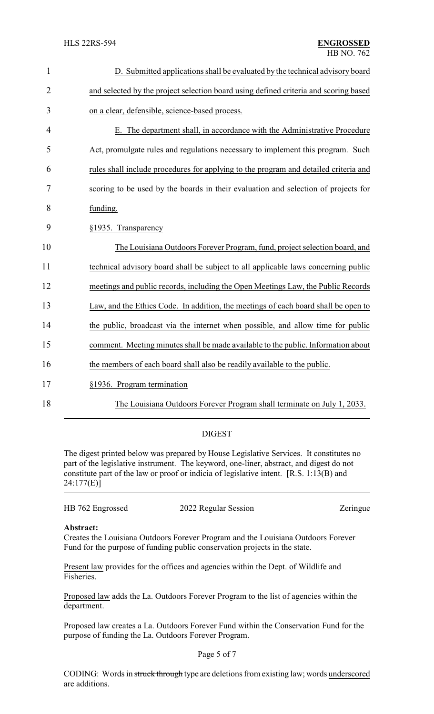| $\mathbf{1}$   | D. Submitted applications shall be evaluated by the technical advisory board         |
|----------------|--------------------------------------------------------------------------------------|
| $\overline{2}$ | and selected by the project selection board using defined criteria and scoring based |
| 3              | on a clear, defensible, science-based process.                                       |
| 4              | E. The department shall, in accordance with the Administrative Procedure             |
| 5              | Act, promulgate rules and regulations necessary to implement this program. Such      |
| 6              | rules shall include procedures for applying to the program and detailed criteria and |
| 7              | scoring to be used by the boards in their evaluation and selection of projects for   |
| 8              | funding.                                                                             |
| 9              | §1935. Transparency                                                                  |
| 10             | The Louisiana Outdoors Forever Program, fund, project selection board, and           |
| 11             | technical advisory board shall be subject to all applicable laws concerning public   |
| 12             | meetings and public records, including the Open Meetings Law, the Public Records     |
| 13             | Law, and the Ethics Code. In addition, the meetings of each board shall be open to   |
| 14             | the public, broadcast via the internet when possible, and allow time for public      |
| 15             | comment. Meeting minutes shall be made available to the public. Information about    |
| 16             | the members of each board shall also be readily available to the public.             |
| 17             | §1936. Program termination                                                           |
|                |                                                                                      |

- 
- 
- 18 The Louisiana Outdoors Forever Program shall terminate on July 1, 2033.

### DIGEST

The digest printed below was prepared by House Legislative Services. It constitutes no part of the legislative instrument. The keyword, one-liner, abstract, and digest do not constitute part of the law or proof or indicia of legislative intent. [R.S. 1:13(B) and 24:177(E)]

| HB 762 Engrossed | 2022 Regular Session | Zeringue |
|------------------|----------------------|----------|
|                  |                      |          |

#### **Abstract:**

Creates the Louisiana Outdoors Forever Program and the Louisiana Outdoors Forever Fund for the purpose of funding public conservation projects in the state.

Present law provides for the offices and agencies within the Dept. of Wildlife and Fisheries.

Proposed law adds the La. Outdoors Forever Program to the list of agencies within the department.

Proposed law creates a La. Outdoors Forever Fund within the Conservation Fund for the purpose of funding the La. Outdoors Forever Program.

### Page 5 of 7

CODING: Words in struck through type are deletions from existing law; words underscored are additions.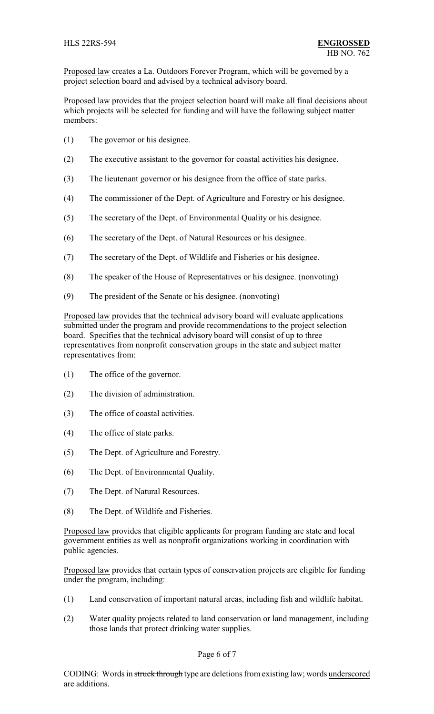Proposed law creates a La. Outdoors Forever Program, which will be governed by a project selection board and advised by a technical advisory board.

Proposed law provides that the project selection board will make all final decisions about which projects will be selected for funding and will have the following subject matter members:

- (1) The governor or his designee.
- (2) The executive assistant to the governor for coastal activities his designee.
- (3) The lieutenant governor or his designee from the office of state parks.
- (4) The commissioner of the Dept. of Agriculture and Forestry or his designee.
- (5) The secretary of the Dept. of Environmental Quality or his designee.
- (6) The secretary of the Dept. of Natural Resources or his designee.
- (7) The secretary of the Dept. of Wildlife and Fisheries or his designee.
- (8) The speaker of the House of Representatives or his designee. (nonvoting)
- (9) The president of the Senate or his designee. (nonvoting)

Proposed law provides that the technical advisory board will evaluate applications submitted under the program and provide recommendations to the project selection board. Specifies that the technical advisory board will consist of up to three representatives from nonprofit conservation groups in the state and subject matter representatives from:

- (1) The office of the governor.
- (2) The division of administration.
- (3) The office of coastal activities.
- (4) The office of state parks.
- (5) The Dept. of Agriculture and Forestry.
- (6) The Dept. of Environmental Quality.
- (7) The Dept. of Natural Resources.
- (8) The Dept. of Wildlife and Fisheries.

Proposed law provides that eligible applicants for program funding are state and local government entities as well as nonprofit organizations working in coordination with public agencies.

Proposed law provides that certain types of conservation projects are eligible for funding under the program, including:

- (1) Land conservation of important natural areas, including fish and wildlife habitat.
- (2) Water quality projects related to land conservation or land management, including those lands that protect drinking water supplies.

### Page 6 of 7

CODING: Words in struck through type are deletions from existing law; words underscored are additions.